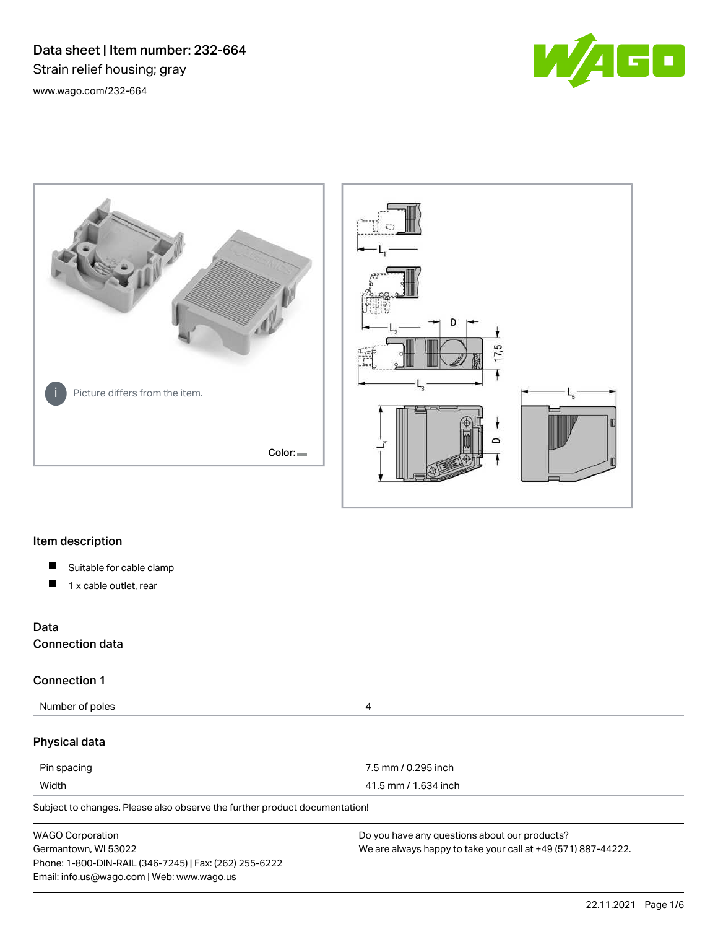Data sheet | Item number: 232-664 Strain relief housing; gray [www.wago.com/232-664](http://www.wago.com/232-664)







# Item description

- $\blacksquare$ Suitable for cable clamp
- $\blacksquare$ 1 x cable outlet, rear

# Data

Connection data

# Connection 1

Number of poles 4

## Physical data

| Pin spacing | 7.5 mm / 0.295 inch  |
|-------------|----------------------|
| Width       | 41.5 mm / 1.634 inch |

Subject to changes. Please also observe the further product documentation!

| <b>WAGO Corporation</b>                                | Do you have any questions about our products?                 |
|--------------------------------------------------------|---------------------------------------------------------------|
| Germantown, WI 53022                                   | We are always happy to take your call at +49 (571) 887-44222. |
| Phone: 1-800-DIN-RAIL (346-7245)   Fax: (262) 255-6222 |                                                               |
| Email: info.us@wago.com   Web: www.wago.us             |                                                               |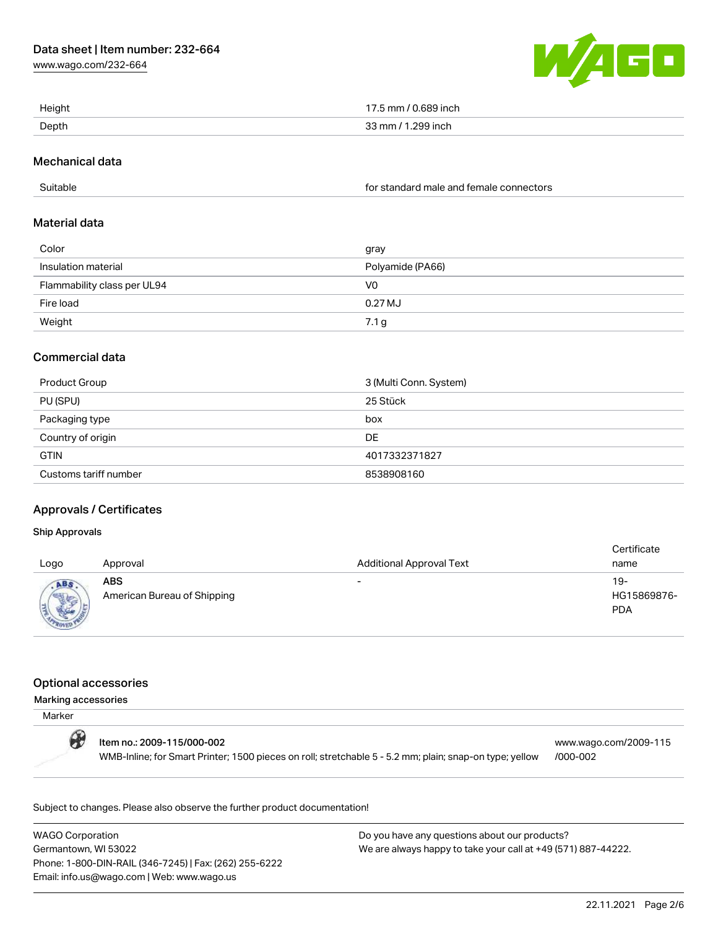[www.wago.com/232-664](http://www.wago.com/232-664)



| Height | / 0.689 inch<br>mm |
|--------|--------------------|
| Depth  | 299 inch           |

## Mechanical data

Suitable for standard male and female connectors

## Material data

| Color                       | gray             |  |
|-----------------------------|------------------|--|
| Insulation material         | Polyamide (PA66) |  |
| Flammability class per UL94 | V0               |  |
| Fire load                   | 0.27 MJ          |  |
| Weight                      | 7.1 g            |  |

# Commercial data

| <b>Product Group</b>  | 3 (Multi Conn. System) |  |
|-----------------------|------------------------|--|
| PU (SPU)              | 25 Stück               |  |
| Packaging type        | box                    |  |
| Country of origin     | DE                     |  |
| <b>GTIN</b>           | 4017332371827          |  |
| Customs tariff number | 8538908160             |  |

# Approvals / Certificates

## Ship Approvals

| Logo                           | Approval                                  | <b>Additional Approval Text</b> | Certificate<br>name              |
|--------------------------------|-------------------------------------------|---------------------------------|----------------------------------|
| ABS<br><b>Marris</b><br>$-701$ | <b>ABS</b><br>American Bureau of Shipping | $\overline{\phantom{0}}$        | 19-<br>HG15869876-<br><b>PDA</b> |

## Optional accessories

#### Marking accessories

| Marker |                                                                                                                                       |                                   |
|--------|---------------------------------------------------------------------------------------------------------------------------------------|-----------------------------------|
| O      | ltem no.: 2009-115/000-002<br>WMB-Inline; for Smart Printer; 1500 pieces on roll; stretchable 5 - 5.2 mm; plain; snap-on type; yellow | www.wago.com/2009-115<br>/000-002 |

Subject to changes. Please also observe the further product documentation!

WAGO Corporation Germantown, WI 53022 Phone: 1-800-DIN-RAIL (346-7245) | Fax: (262) 255-6222 Email: info.us@wago.com | Web: www.wago.us

Do you have any questions about our products? We are always happy to take your call at +49 (571) 887-44222.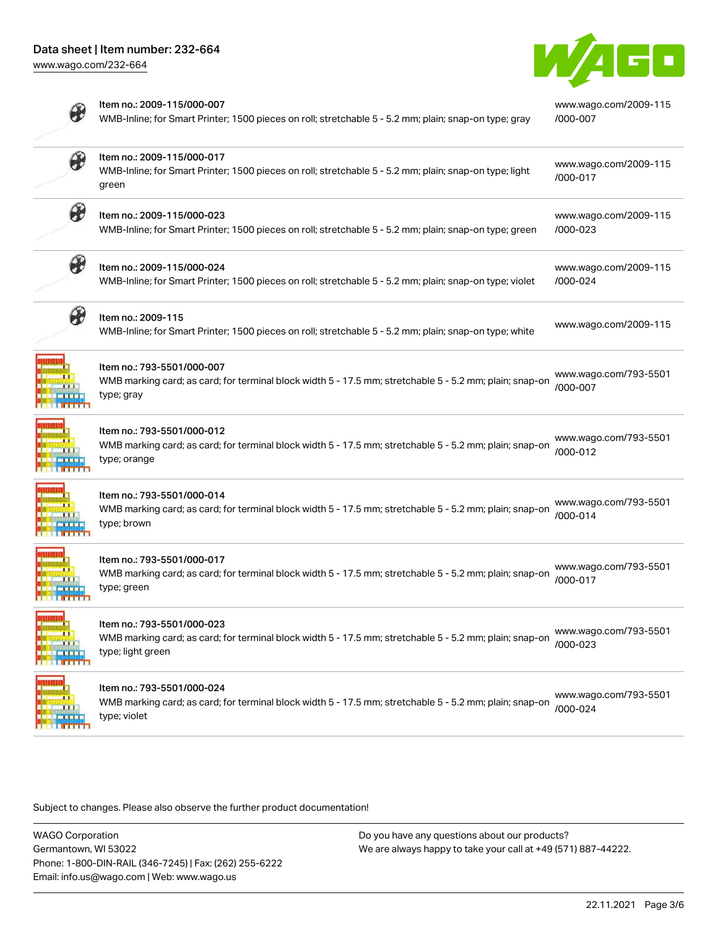

|                       | Item no.: 2009-115/000-007<br>WMB-Inline; for Smart Printer; 1500 pieces on roll; stretchable 5 - 5.2 mm; plain; snap-on type; gray                        | www.wago.com/2009-115<br>/000-007 |
|-----------------------|------------------------------------------------------------------------------------------------------------------------------------------------------------|-----------------------------------|
| B                     | Item no.: 2009-115/000-017<br>WMB-Inline; for Smart Printer; 1500 pieces on roll; stretchable 5 - 5.2 mm; plain; snap-on type; light<br>green              | www.wago.com/2009-115<br>/000-017 |
| $\boldsymbol{\theta}$ | Item no.: 2009-115/000-023<br>WMB-Inline; for Smart Printer; 1500 pieces on roll; stretchable 5 - 5.2 mm; plain; snap-on type; green                       | www.wago.com/2009-115<br>/000-023 |
| $\boldsymbol{\theta}$ | Item no.: 2009-115/000-024<br>WMB-Inline; for Smart Printer; 1500 pieces on roll; stretchable 5 - 5.2 mm; plain; snap-on type; violet                      | www.wago.com/2009-115<br>/000-024 |
|                       | Item no.: 2009-115<br>WMB-Inline; for Smart Printer; 1500 pieces on roll; stretchable 5 - 5.2 mm; plain; snap-on type; white                               | www.wago.com/2009-115             |
|                       | Item no.: 793-5501/000-007<br>WMB marking card; as card; for terminal block width 5 - 17.5 mm; stretchable 5 - 5.2 mm; plain; snap-on<br>type; gray        | www.wago.com/793-5501<br>/000-007 |
|                       | Item no.: 793-5501/000-012<br>WMB marking card; as card; for terminal block width 5 - 17.5 mm; stretchable 5 - 5.2 mm; plain; snap-on<br>type; orange      | www.wago.com/793-5501<br>/000-012 |
|                       | Item no.: 793-5501/000-014<br>WMB marking card; as card; for terminal block width 5 - 17.5 mm; stretchable 5 - 5.2 mm; plain; snap-on<br>type; brown       | www.wago.com/793-5501<br>/000-014 |
|                       | Item no.: 793-5501/000-017<br>WMB marking card; as card; for terminal block width 5 - 17.5 mm; stretchable 5 - 5.2 mm; plain; snap-on<br>type; green       | www.wago.com/793-5501<br>/000-017 |
|                       | Item no.: 793-5501/000-023<br>WMB marking card; as card; for terminal block width 5 - 17.5 mm; stretchable 5 - 5.2 mm; plain; snap-on<br>type; light green | www.wago.com/793-5501<br>/000-023 |
|                       | ltem no.: 793-5501/000-024<br>WMB marking card; as card; for terminal block width 5 - 17.5 mm; stretchable 5 - 5.2 mm; plain; snap-on<br>type; violet      | www.wago.com/793-5501<br>/000-024 |

Subject to changes. Please also observe the further product documentation!

WAGO Corporation Germantown, WI 53022 Phone: 1-800-DIN-RAIL (346-7245) | Fax: (262) 255-6222 Email: info.us@wago.com | Web: www.wago.us

Do you have any questions about our products? We are always happy to take your call at +49 (571) 887-44222.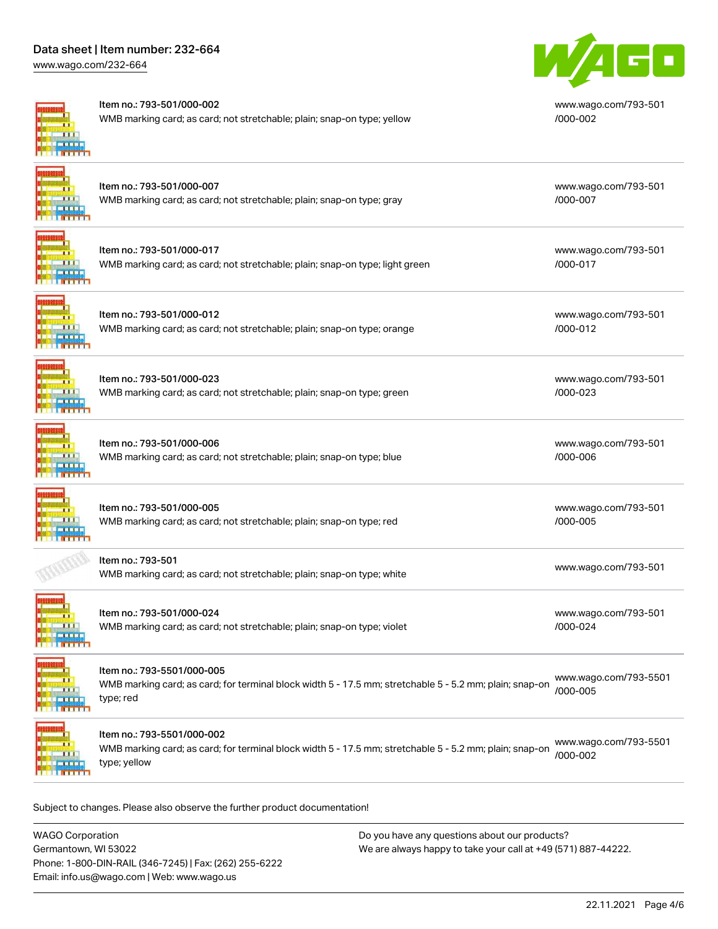# Data sheet | Item number: 232-664

[www.wago.com/232-664](http://www.wago.com/232-664)



#### Item no.: 793-501/000-002

Item no.: 793-501/000-012

WMB marking card; as card; not stretchable; plain; snap-on type; yellow



[www.wago.com/793-501](http://www.wago.com/793-501/000-002) [/000-002](http://www.wago.com/793-501/000-002)

[www.wago.com/793-501](http://www.wago.com/793-501/000-007)

[www.wago.com/793-501](http://www.wago.com/793-501/000-017)

[/000-007](http://www.wago.com/793-501/000-007)

[/000-017](http://www.wago.com/793-501/000-017)

[/000-023](http://www.wago.com/793-501/000-023)

[/000-006](http://www.wago.com/793-501/000-006)

[/000-005](http://www.wago.com/793-501/000-005)

[/000-024](http://www.wago.com/793-501/000-024)

# Item no.: 793-501/000-007 WMB marking card; as card; not stretchable; plain; snap-on type; gray

| Item no.: 793-501/000-017                                                    |
|------------------------------------------------------------------------------|
| WMB marking card; as card; not stretchable; plain; snap-on type; light green |

WMB marking card; as card; not stretchable; plain; snap-on type; orange

[www.wago.com/793-501](http://www.wago.com/793-501/000-012) [/000-012](http://www.wago.com/793-501/000-012)

[www.wago.com/793-501](http://www.wago.com/793-501/000-023)

[www.wago.com/793-501](http://www.wago.com/793-501/000-006)

[www.wago.com/793-501](http://www.wago.com/793-501/000-005)

[www.wago.com/793-501](http://www.wago.com/793-501/000-024)

 $\mathbf{H}$ **TELETI** 

Item no.: 793-501/000-023 WMB marking card; as card; not stretchable; plain; snap-on type; green



Item no.: 793-501/000-006 WMB marking card; as card; not stretchable; plain; snap-on type; blue

Item no.: 793-501/000-005 WMB marking card; as card; not stretchable; plain; snap-on type; red  $\overline{B}$   $\overline{B}$   $\overline{B}$   $\overline{B}$   $\overline{B}$ 

Item no.: 793-501

[www.wago.com/793-501](http://www.wago.com/793-501)<br>WMB marking card; as card; not stretchable; plain; snap-on type; white



Item no.: 793-501/000-024 WMB marking card; as card; not stretchable; plain; snap-on type; violet



## Item no.: 793-5501/000-005

WMB marking card; as card; for terminal block width 5 - 17.5 mm; stretchable 5 - 5.2 mm; plain; snap-on type; red [www.wago.com/793-5501](http://www.wago.com/793-5501/000-005) [/000-005](http://www.wago.com/793-5501/000-005)



Item no.: 793-5501/000-002

WMB marking card; as card; for terminal block width 5 - 17.5 mm; stretchable 5 - 5.2 mm; plain; snap-on type; yellow [www.wago.com/793-5501](http://www.wago.com/793-5501/000-002) [/000-002](http://www.wago.com/793-5501/000-002)

Subject to changes. Please also observe the further product documentation!

WAGO Corporation Germantown, WI 53022 Phone: 1-800-DIN-RAIL (346-7245) | Fax: (262) 255-6222 Email: info.us@wago.com | Web: www.wago.us Do you have any questions about our products? We are always happy to take your call at +49 (571) 887-44222.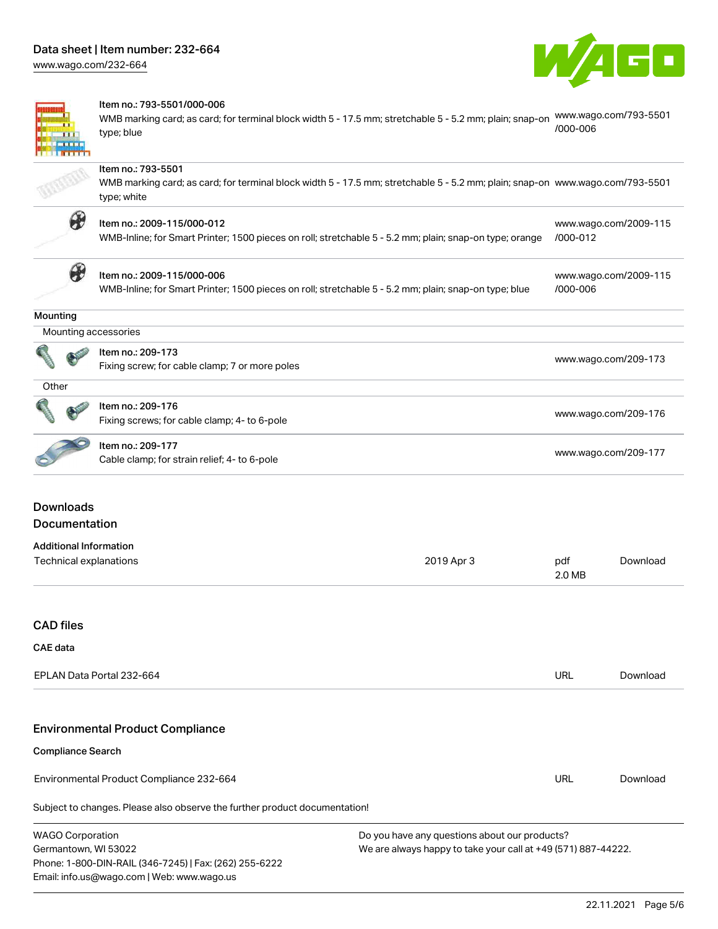[www.wago.com/232-664](http://www.wago.com/232-664)



[www.wago.com/2009-115](http://www.wago.com/2009-115/000-012)

[www.wago.com/2009-115](http://www.wago.com/2009-115/000-006)

[/000-006](http://www.wago.com/2009-115/000-006)



#### Item no.: 793-5501/000-006

WMB marking card; as card; for terminal block width 5 - 17.5 mm; stretchable 5 - 5.2 mm; plain; snap-on [www.wago.com/793-5501](http://www.wago.com/793-5501/000-006) type; blue [/000-006](http://www.wago.com/793-5501/000-006)

## Item no.: 793-5501

WMB marking card; as card; for terminal block width 5 - 17.5 mm; stretchable 5 - 5.2 mm; plain; snap-on [www.wago.com/793-5501](http://www.wago.com/793-5501) type; white



## Item no.: 2009-115/000-012

WMB-Inline; for Smart Printer; 1500 pieces on roll; stretchable 5 - 5.2 mm; plain; snap-on type; orange [/000-012](http://www.wago.com/2009-115/000-012)



# Item no.: 2009-115/000-006

WMB-Inline; for Smart Printer; 1500 pieces on roll; stretchable 5 - 5.2 mm; plain; snap-on type; blue

#### **Mounting**

|  | Mounting accessories |  |  |  |
|--|----------------------|--|--|--|
|  | Item no.: 209-173    |  |  |  |

| 10011110 2037170                               |                      |
|------------------------------------------------|----------------------|
| Fixing screw; for cable clamp; 7 or more poles | www.wago.com/209-173 |

| ۰.<br>×<br>٠ |  |
|--------------|--|
|              |  |

ø

| <b>Contract Contract Contract</b><br><b>AND</b> | Item no.: 209-176                            | www.wago.com/209-176 |  |
|-------------------------------------------------|----------------------------------------------|----------------------|--|
|                                                 | Fixing screws; for cable clamp; 4- to 6-pole |                      |  |

# Item no.: 209-177

nem no... 209-177<br>Cable clamp; for strain relief; 4- to 6-pole [www.wago.com/209-177](http://www.wago.com/209-177)

# Downloads Documentation

| Additional Information |            |        |          |
|------------------------|------------|--------|----------|
| Technical explanations | 2019 Apr 3 | pdf    | Download |
|                        |            | 2.0 MB |          |

# CAD files

## CAE data

| EPLAN Data Portal 232-664 | URL | Download |
|---------------------------|-----|----------|
|                           |     |          |

# Environmental Product Compliance

#### Compliance Search

Environmental Product Compliance 232-664

Subject to changes. Please also observe the further product documentation!

Do you have any questions about our products? We are always happy to take your call at +49 (571) 887-44222.

URL [Download](https://www.wago.com/global/d/ComplianceLinkMediaContainer_232-664)